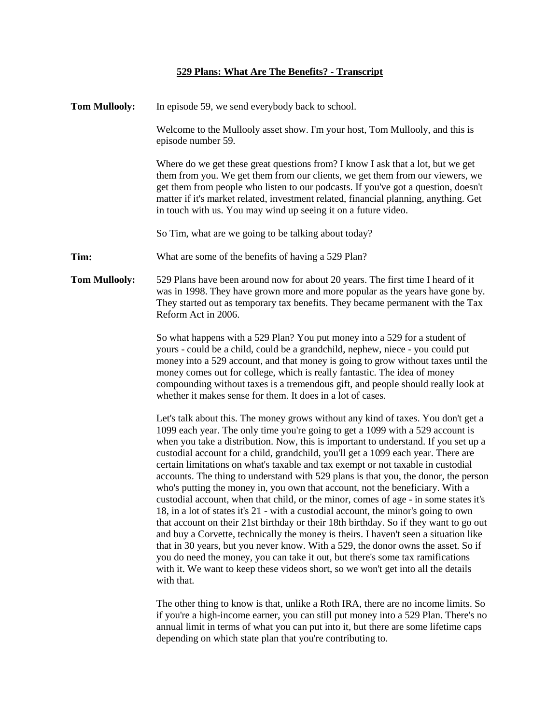## **529 Plans: What Are The Benefits? - Transcript**

| <b>Tom Mullooly:</b> | In episode 59, we send everybody back to school.                                                                                                                                                                                                                                                                                                                                                                                                                                                                                                                                                                                                                                                                                                                                                                                                                                                                                                                                                                                                                                                                                                                                                                                                      |
|----------------------|-------------------------------------------------------------------------------------------------------------------------------------------------------------------------------------------------------------------------------------------------------------------------------------------------------------------------------------------------------------------------------------------------------------------------------------------------------------------------------------------------------------------------------------------------------------------------------------------------------------------------------------------------------------------------------------------------------------------------------------------------------------------------------------------------------------------------------------------------------------------------------------------------------------------------------------------------------------------------------------------------------------------------------------------------------------------------------------------------------------------------------------------------------------------------------------------------------------------------------------------------------|
|                      | Welcome to the Mullooly asset show. I'm your host, Tom Mullooly, and this is<br>episode number 59.                                                                                                                                                                                                                                                                                                                                                                                                                                                                                                                                                                                                                                                                                                                                                                                                                                                                                                                                                                                                                                                                                                                                                    |
|                      | Where do we get these great questions from? I know I ask that a lot, but we get<br>them from you. We get them from our clients, we get them from our viewers, we<br>get them from people who listen to our podcasts. If you've got a question, doesn't<br>matter if it's market related, investment related, financial planning, anything. Get<br>in touch with us. You may wind up seeing it on a future video.                                                                                                                                                                                                                                                                                                                                                                                                                                                                                                                                                                                                                                                                                                                                                                                                                                      |
|                      | So Tim, what are we going to be talking about today?                                                                                                                                                                                                                                                                                                                                                                                                                                                                                                                                                                                                                                                                                                                                                                                                                                                                                                                                                                                                                                                                                                                                                                                                  |
| Tim:                 | What are some of the benefits of having a 529 Plan?                                                                                                                                                                                                                                                                                                                                                                                                                                                                                                                                                                                                                                                                                                                                                                                                                                                                                                                                                                                                                                                                                                                                                                                                   |
| <b>Tom Mullooly:</b> | 529 Plans have been around now for about 20 years. The first time I heard of it<br>was in 1998. They have grown more and more popular as the years have gone by.<br>They started out as temporary tax benefits. They became permanent with the Tax<br>Reform Act in 2006.                                                                                                                                                                                                                                                                                                                                                                                                                                                                                                                                                                                                                                                                                                                                                                                                                                                                                                                                                                             |
|                      | So what happens with a 529 Plan? You put money into a 529 for a student of<br>yours - could be a child, could be a grandchild, nephew, niece - you could put<br>money into a 529 account, and that money is going to grow without taxes until the<br>money comes out for college, which is really fantastic. The idea of money<br>compounding without taxes is a tremendous gift, and people should really look at<br>whether it makes sense for them. It does in a lot of cases.                                                                                                                                                                                                                                                                                                                                                                                                                                                                                                                                                                                                                                                                                                                                                                     |
|                      | Let's talk about this. The money grows without any kind of taxes. You don't get a<br>1099 each year. The only time you're going to get a 1099 with a 529 account is<br>when you take a distribution. Now, this is important to understand. If you set up a<br>custodial account for a child, grandchild, you'll get a 1099 each year. There are<br>certain limitations on what's taxable and tax exempt or not taxable in custodial<br>accounts. The thing to understand with 529 plans is that you, the donor, the person<br>who's putting the money in, you own that account, not the beneficiary. With a<br>custodial account, when that child, or the minor, comes of age - in some states it's<br>18, in a lot of states it's 21 - with a custodial account, the minor's going to own<br>that account on their 21st birthday or their 18th birthday. So if they want to go out<br>and buy a Corvette, technically the money is theirs. I haven't seen a situation like<br>that in 30 years, but you never know. With a 529, the donor owns the asset. So if<br>you do need the money, you can take it out, but there's some tax ramifications<br>with it. We want to keep these videos short, so we won't get into all the details<br>with that. |
|                      | The other thing to know is that, unlike a Roth IRA, there are no income limits. So<br>if you're a high-income earner, you can still put money into a 529 Plan. There's no<br>annual limit in terms of what you can put into it, but there are some lifetime caps                                                                                                                                                                                                                                                                                                                                                                                                                                                                                                                                                                                                                                                                                                                                                                                                                                                                                                                                                                                      |

depending on which state plan that you're contributing to.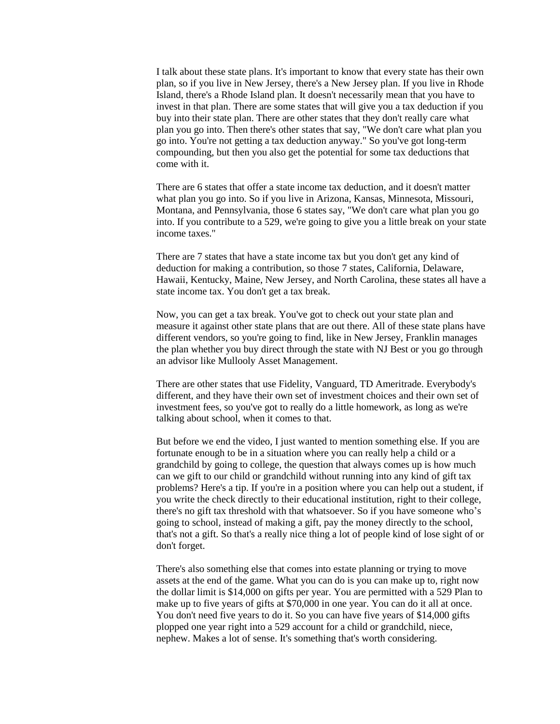I talk about these state plans. It's important to know that every state has their own plan, so if you live in New Jersey, there's a New Jersey plan. If you live in Rhode Island, there's a Rhode Island plan. It doesn't necessarily mean that you have to invest in that plan. There are some states that will give you a tax deduction if you buy into their state plan. There are other states that they don't really care what plan you go into. Then there's other states that say, "We don't care what plan you go into. You're not getting a tax deduction anyway." So you've got long-term compounding, but then you also get the potential for some tax deductions that come with it.

There are 6 states that offer a state income tax deduction, and it doesn't matter what plan you go into. So if you live in Arizona, Kansas, Minnesota, Missouri, Montana, and Pennsylvania, those 6 states say, "We don't care what plan you go into. If you contribute to a 529, we're going to give you a little break on your state income taxes."

There are 7 states that have a state income tax but you don't get any kind of deduction for making a contribution, so those 7 states, California, Delaware, Hawaii, Kentucky, Maine, New Jersey, and North Carolina, these states all have a state income tax. You don't get a tax break.

Now, you can get a tax break. You've got to check out your state plan and measure it against other state plans that are out there. All of these state plans have different vendors, so you're going to find, like in New Jersey, Franklin manages the plan whether you buy direct through the state with NJ Best or you go through an advisor like Mullooly Asset Management.

There are other states that use Fidelity, Vanguard, TD Ameritrade. Everybody's different, and they have their own set of investment choices and their own set of investment fees, so you've got to really do a little homework, as long as we're talking about school, when it comes to that.

But before we end the video, I just wanted to mention something else. If you are fortunate enough to be in a situation where you can really help a child or a grandchild by going to college, the question that always comes up is how much can we gift to our child or grandchild without running into any kind of gift tax problems? Here's a tip. If you're in a position where you can help out a student, if you write the check directly to their educational institution, right to their college, there's no gift tax threshold with that whatsoever. So if you have someone who's going to school, instead of making a gift, pay the money directly to the school, that's not a gift. So that's a really nice thing a lot of people kind of lose sight of or don't forget.

There's also something else that comes into estate planning or trying to move assets at the end of the game. What you can do is you can make up to, right now the dollar limit is \$14,000 on gifts per year. You are permitted with a 529 Plan to make up to five years of gifts at \$70,000 in one year. You can do it all at once. You don't need five years to do it. So you can have five years of \$14,000 gifts plopped one year right into a 529 account for a child or grandchild, niece, nephew. Makes a lot of sense. It's something that's worth considering.